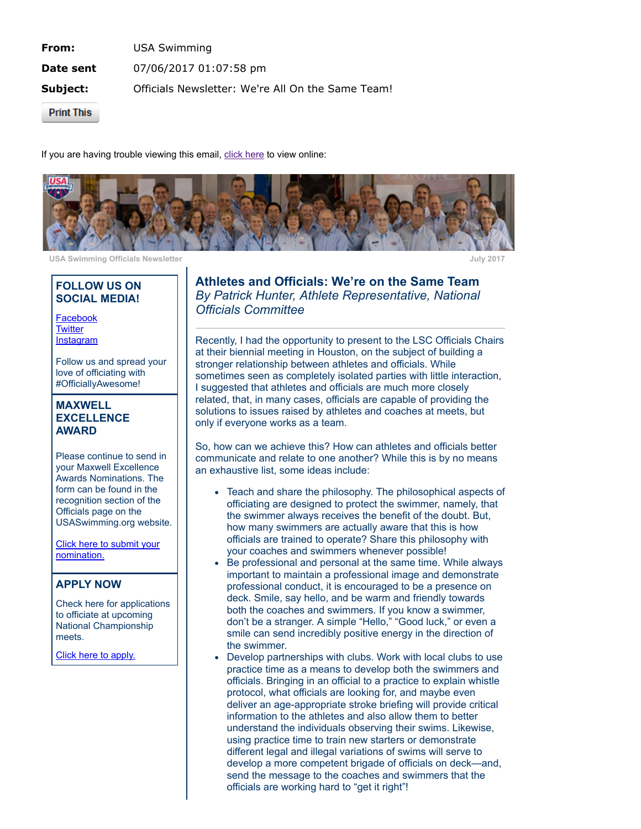**From:** USA Swimming **Date sent** 07/06/2017 01:07:58 pm Subject: Officials Newsletter: We're All On the Same Team!

**Print This** 

If you are having trouble viewing this email, click [here](http://echo4.bluehornet.com/p/v7vNYqibCN) to view online:



USA Swimming Officials Newsletter **July 2017** 

### FOLLOW US ON SOCIAL MEDIA!

[Facebook](http://echo4.bluehornet.com/ct/93468016:7vNYqibCN:m:N:201755875:580AD0DDD64061E7CCE60B57C0C35260) **[Twitter](http://echo4.bluehornet.com/ct/93468017:7vNYqibCN:m:N:201755875:580AD0DDD64061E7CCE60B57C0C35260)** [Instagram](http://echo4.bluehornet.com/ct/93468018:7vNYqibCN:m:N:201755875:580AD0DDD64061E7CCE60B57C0C35260)

Follow us and spread your love of officiating with #OfficiallyAwesome!

#### MAXWELL **EXCELLENCE** AWARD

Please continue to send in your Maxwell Excellence Awards Nominations. The form can be found in the recognition section of the Officials page on the USASwimming.org website.

Click here to submit your [nomination.](http://echo4.bluehornet.com/ct/93468019:7vNYqibCN:m:N:201755875:580AD0DDD64061E7CCE60B57C0C35260)

## APPLY NOW

Check here for applications to officiate at upcoming National Championship meets.

Click here to [apply.](http://echo4.bluehornet.com/ct/93468020:7vNYqibCN:m:N:201755875:580AD0DDD64061E7CCE60B57C0C35260)

Athletes and Officials: We're on the Same Team By Patrick Hunter, Athlete Representative, National Officials Committee

Recently, I had the opportunity to present to the LSC Officials Chairs at their biennial meeting in Houston, on the subject of building a stronger relationship between athletes and officials. While sometimes seen as completely isolated parties with little interaction, I suggested that athletes and officials are much more closely related, that, in many cases, officials are capable of providing the solutions to issues raised by athletes and coaches at meets, but only if everyone works as a team.

So, how can we achieve this? How can athletes and officials better communicate and relate to one another? While this is by no means an exhaustive list, some ideas include:

- Teach and share the philosophy. The philosophical aspects of officiating are designed to protect the swimmer, namely, that the swimmer always receives the benefit of the doubt. But, how many swimmers are actually aware that this is how officials are trained to operate? Share this philosophy with your coaches and swimmers whenever possible!
- Be professional and personal at the same time. While always important to maintain a professional image and demonstrate professional conduct, it is encouraged to be a presence on deck. Smile, say hello, and be warm and friendly towards both the coaches and swimmers. If you know a swimmer, don't be a stranger. A simple "Hello," "Good luck," or even a smile can send incredibly positive energy in the direction of the swimmer.
- Develop partnerships with clubs. Work with local clubs to use practice time as a means to develop both the swimmers and officials. Bringing in an official to a practice to explain whistle protocol, what officials are looking for, and maybe even deliver an age-appropriate stroke briefing will provide critical information to the athletes and also allow them to better understand the individuals observing their swims. Likewise, using practice time to train new starters or demonstrate different legal and illegal variations of swims will serve to develop a more competent brigade of officials on deck—and, send the message to the coaches and swimmers that the officials are working hard to "get it right"!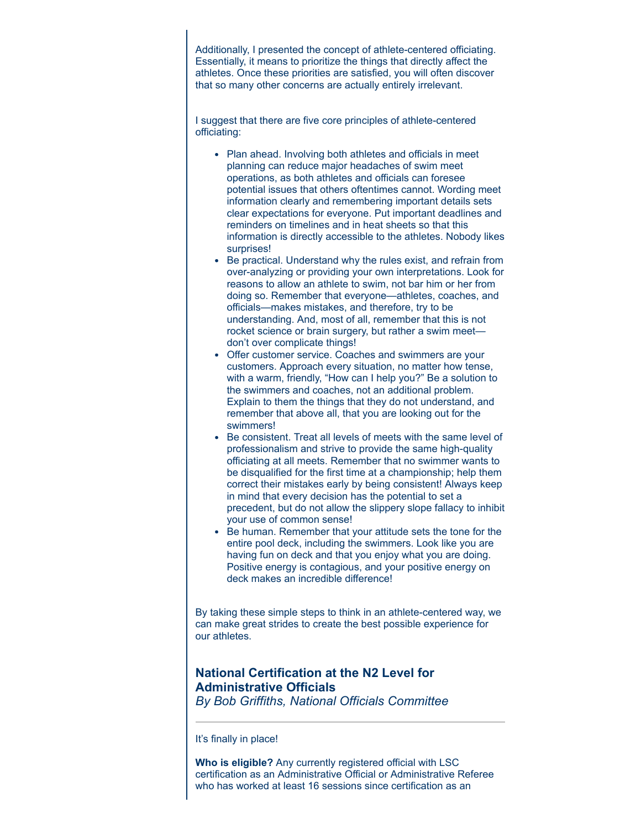Additionally, I presented the concept of athlete-centered officiating. Essentially, it means to prioritize the things that directly affect the athletes. Once these priorities are satisfied, you will often discover that so many other concerns are actually entirely irrelevant.

I suggest that there are five core principles of athlete-centered officiating:

- Plan ahead. Involving both athletes and officials in meet planning can reduce major headaches of swim meet operations, as both athletes and officials can foresee potential issues that others oftentimes cannot. Wording meet information clearly and remembering important details sets clear expectations for everyone. Put important deadlines and reminders on timelines and in heat sheets so that this information is directly accessible to the athletes. Nobody likes surprises!
- Be practical. Understand why the rules exist, and refrain from over-analyzing or providing your own interpretations. Look for reasons to allow an athlete to swim, not bar him or her from doing so. Remember that everyone—athletes, coaches, and officials—makes mistakes, and therefore, try to be understanding. And, most of all, remember that this is not rocket science or brain surgery, but rather a swim meet don't over complicate things!
- Offer customer service. Coaches and swimmers are your customers. Approach every situation, no matter how tense, with a warm, friendly, "How can I help you?" Be a solution to the swimmers and coaches, not an additional problem. Explain to them the things that they do not understand, and remember that above all, that you are looking out for the swimmers!
- Be consistent. Treat all levels of meets with the same level of professionalism and strive to provide the same high-quality officiating at all meets. Remember that no swimmer wants to be disqualified for the first time at a championship; help them correct their mistakes early by being consistent! Always keep in mind that every decision has the potential to set a precedent, but do not allow the slippery slope fallacy to inhibit your use of common sense!
- Be human. Remember that your attitude sets the tone for the entire pool deck, including the swimmers. Look like you are having fun on deck and that you enjoy what you are doing. Positive energy is contagious, and your positive energy on deck makes an incredible difference!

By taking these simple steps to think in an athlete-centered way, we can make great strides to create the best possible experience for our athletes.

# National Certification at the N2 Level for Administrative Officials

By Bob Griffiths, National Officials Committee

It's finally in place!

Who is eligible? Any currently registered official with LSC certification as an Administrative Official or Administrative Referee who has worked at least 16 sessions since certification as an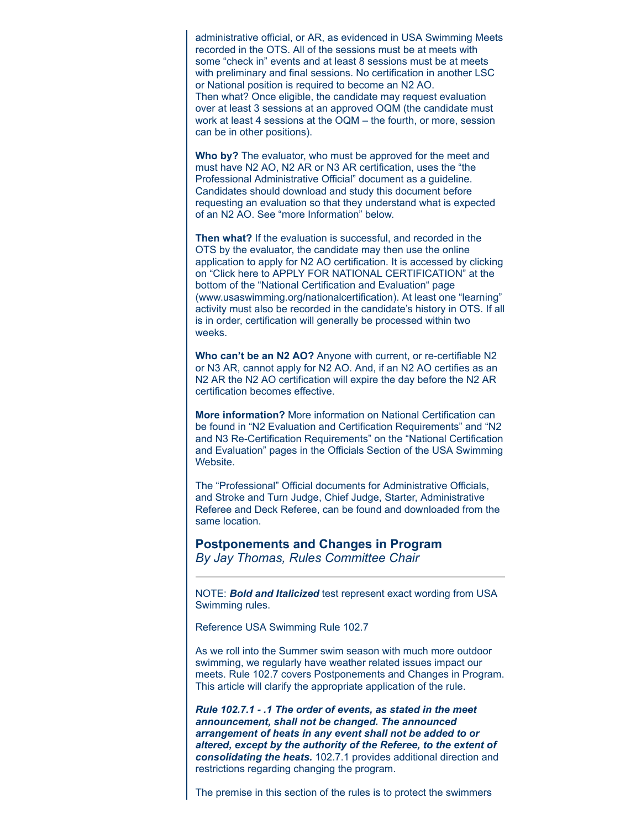administrative official, or AR, as evidenced in USA Swimming Meets recorded in the OTS. All of the sessions must be at meets with some "check in" events and at least 8 sessions must be at meets with preliminary and final sessions. No certification in another LSC or National position is required to become an N2 AO. Then what? Once eligible, the candidate may request evaluation over at least 3 sessions at an approved OQM (the candidate must work at least 4 sessions at the OQM – the fourth, or more, session can be in other positions).

Who by? The evaluator, who must be approved for the meet and must have N2 AO, N2 AR or N3 AR certification, uses the "the Professional Administrative Official" document as a guideline. Candidates should download and study this document before requesting an evaluation so that they understand what is expected of an N2 AO. See "more Information" below.

Then what? If the evaluation is successful, and recorded in the OTS by the evaluator, the candidate may then use the online application to apply for N2 AO certification. It is accessed by clicking on "Click here to APPLY FOR NATIONAL CERTIFICATION" at the bottom of the "National Certification and Evaluation" page (www.usaswimming.org/nationalcertification). At least one "learning" activity must also be recorded in the candidate's history in OTS. If all is in order, certification will generally be processed within two weeks.

Who can't be an N2 AO? Anyone with current, or re-certifiable N2 or N3 AR, cannot apply for N2 AO. And, if an N2 AO certifies as an N2 AR the N2 AO certification will expire the day before the N2 AR certification becomes effective.

More information? More information on National Certification can be found in "N2 Evaluation and Certification Requirements" and "N2 and N3 Re-Certification Requirements" on the "National Certification and Evaluation" pages in the Officials Section of the USA Swimming Website.

The "Professional" Official documents for Administrative Officials, and Stroke and Turn Judge, Chief Judge, Starter, Administrative Referee and Deck Referee, can be found and downloaded from the same location.

Postponements and Changes in Program By Jay Thomas, Rules Committee Chair

NOTE: **Bold and Italicized** test represent exact wording from USA Swimming rules.

Reference USA Swimming Rule 102.7

As we roll into the Summer swim season with much more outdoor swimming, we regularly have weather related issues impact our meets. Rule 102.7 covers Postponements and Changes in Program. This article will clarify the appropriate application of the rule.

Rule 102.7.1 - .1 The order of events, as stated in the meet announcement, shall not be changed. The announced arrangement of heats in any event shall not be added to or altered, except by the authority of the Referee, to the extent of consolidating the heats. 102.7.1 provides additional direction and restrictions regarding changing the program.

The premise in this section of the rules is to protect the swimmers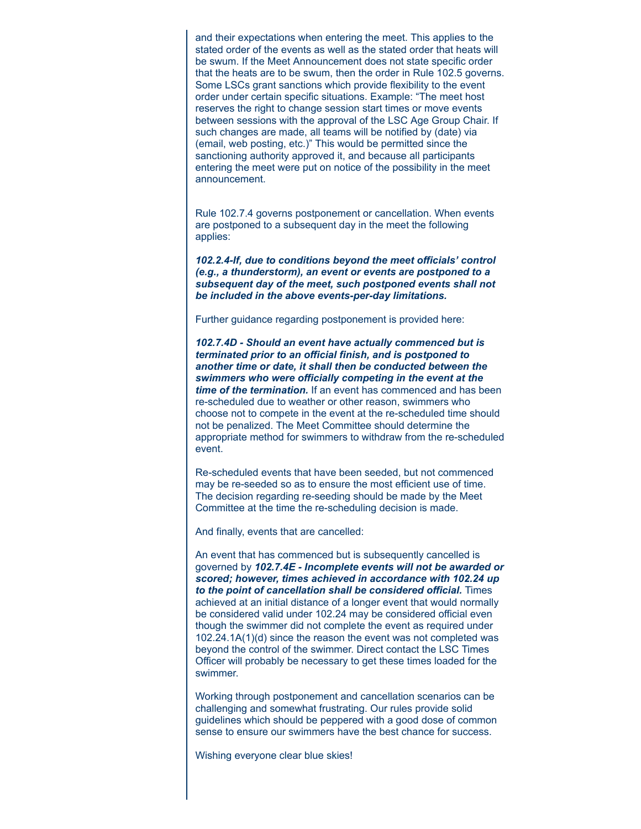and their expectations when entering the meet. This applies to the stated order of the events as well as the stated order that heats will be swum. If the Meet Announcement does not state specific order that the heats are to be swum, then the order in Rule 102.5 governs. Some LSCs grant sanctions which provide flexibility to the event order under certain specific situations. Example: "The meet host reserves the right to change session start times or move events between sessions with the approval of the LSC Age Group Chair. If such changes are made, all teams will be notified by (date) via (email, web posting, etc.)" This would be permitted since the sanctioning authority approved it, and because all participants entering the meet were put on notice of the possibility in the meet announcement.

Rule 102.7.4 governs postponement or cancellation. When events are postponed to a subsequent day in the meet the following applies:

102.2.4-If, due to conditions beyond the meet officials' control (e.g., a thunderstorm), an event or events are postponed to a subsequent day of the meet, such postponed events shall not be included in the above events-per-day limitations.

Further guidance regarding postponement is provided here:

102.7.4D - Should an event have actually commenced but is terminated prior to an official finish, and is postponed to another time or date, it shall then be conducted between the swimmers who were officially competing in the event at the time of the termination. If an event has commenced and has been re-scheduled due to weather or other reason, swimmers who choose not to compete in the event at the re-scheduled time should not be penalized. The Meet Committee should determine the appropriate method for swimmers to withdraw from the re-scheduled event.

Re-scheduled events that have been seeded, but not commenced may be re-seeded so as to ensure the most efficient use of time. The decision regarding re-seeding should be made by the Meet Committee at the time the re-scheduling decision is made.

And finally, events that are cancelled:

An event that has commenced but is subsequently cancelled is governed by 102.7.4E - Incomplete events will not be awarded or scored; however, times achieved in accordance with 102.24 up to the point of cancellation shall be considered official. Times achieved at an initial distance of a longer event that would normally be considered valid under 102.24 may be considered official even though the swimmer did not complete the event as required under 102.24.1A(1)(d) since the reason the event was not completed was beyond the control of the swimmer. Direct contact the LSC Times Officer will probably be necessary to get these times loaded for the swimmer.

Working through postponement and cancellation scenarios can be challenging and somewhat frustrating. Our rules provide solid guidelines which should be peppered with a good dose of common sense to ensure our swimmers have the best chance for success.

Wishing everyone clear blue skies!